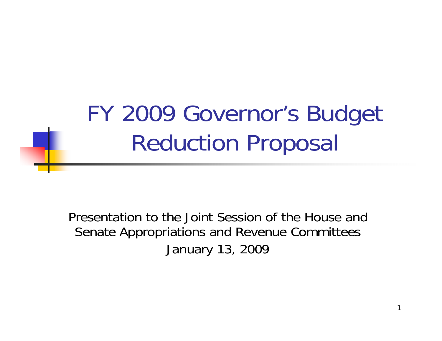FY 2009 Governor's Budget Reduction Proposal

Presentation to the Joint Session of the House and Senate Appropriations and Revenue Committees January 13, 2009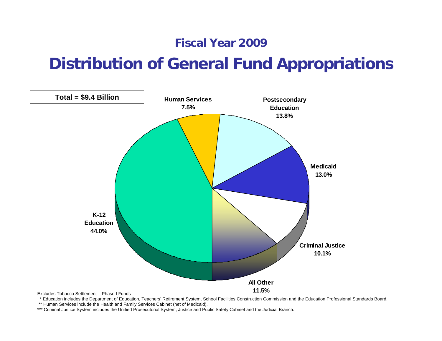#### **Fiscal Year 2009**

#### **Distribution of General Fund Appropriations**



\* Education includes the Department of Education, Teachers' Retirement System, School Facilities Construction Commission and the Education Professional Standards Board.

\*\* Human Services include the Health and Family Services Cabinet (net of Medicaid).

\*\*\* Criminal Justice System includes the Unified Prosecutorial System, Justice and Public Safety Cabinet and the Judicial Branch.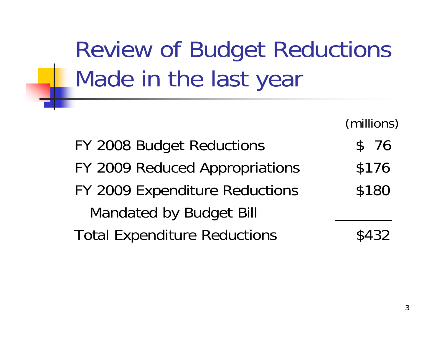Review of Budget Reductions Made in the last year

(millions)

FY 2008 Budget Reductions \$ 76 FY 2009 Reduced Appropriations \$176 FY 2009 Expenditure Reductions \$180 Mandated by Budget Bill Total Expenditure Reductions  $$432$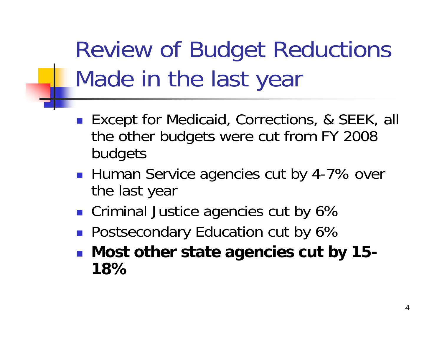Review of Budget Reductions Made in the last year

- Except for Medicaid, Corrections, & SEEK, all the other budgets were cut from FY 2008 budgets
- Human Service agencies cut by 4-7% over the last year
- **Criminal Justice agencies cut by 6%**
- **Postsecondary Education cut by 6%**
- **Most other state agencies cut by 15- 18%**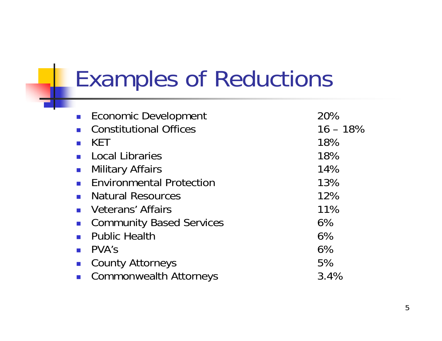## Examples of Reductions

| <b>Economic Development</b>               | 20%         |
|-------------------------------------------|-------------|
| <b>Constitutional Offices</b>             | $16 - 18\%$ |
| <b>KET</b>                                | 18%         |
| <b>Local Libraries</b>                    | 18%         |
| <b>Military Affairs</b><br>$\mathbb{R}^3$ | 14%         |
| <b>Environmental Protection</b>           | 13%         |
| • Natural Resources                       | 12%         |
| • Veterans' Affairs                       | 11%         |
| <b>Community Based Services</b>           | 6%          |
| <b>Public Health</b>                      | 6%          |
| PVA's                                     | 6%          |
| <b>County Attorneys</b>                   | 5%          |
| <b>Commonwealth Attorneys</b>             | 3.4%        |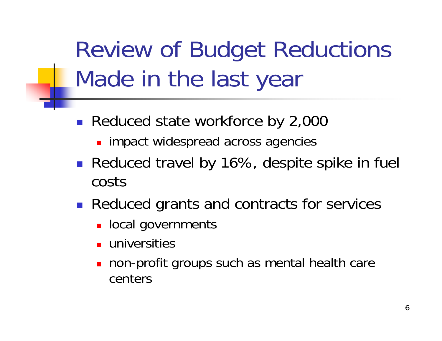Review of Budget Reductions Made in the last year

- Reduced state workforce by 2,000
	- **nd impact widespread across agencies**
- Reduced travel by 16%, despite spike in fuel costs
- **Reduced grants and contracts for services** 
	- **Diam** local governments
	- **universities**
	- П non-profit groups such as mental health care centers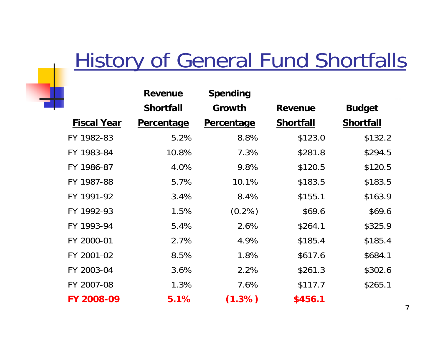#### **History of General Fund Shortfalls**

|                    | <b>Revenue</b>    | <b>Spending</b>   |                  |                  |
|--------------------|-------------------|-------------------|------------------|------------------|
|                    | <b>Shortfall</b>  | Growth            | <b>Revenue</b>   | <b>Budget</b>    |
| <b>Fiscal Year</b> | <b>Percentage</b> | <b>Percentage</b> | <b>Shortfall</b> | <b>Shortfall</b> |
| FY 1982-83         | 5.2%              | 8.8%              | \$123.0          | \$132.2          |
| FY 1983-84         | 10.8%             | 7.3%              | \$281.8          | \$294.5          |
| FY 1986-87         | 4.0%              | 9.8%              | \$120.5          | \$120.5          |
| FY 1987-88         | 5.7%              | 10.1%             | \$183.5          | \$183.5          |
| FY 1991-92         | 3.4%              | 8.4%              | \$155.1          | \$163.9          |
| FY 1992-93         | 1.5%              | $(0.2\%)$         | \$69.6           | \$69.6           |
| FY 1993-94         | 5.4%              | 2.6%              | \$264.1          | \$325.9          |
| FY 2000-01         | 2.7%              | 4.9%              | \$185.4          | \$185.4          |
| FY 2001-02         | 8.5%              | 1.8%              | \$617.6          | \$684.1          |
| FY 2003-04         | 3.6%              | 2.2%              | \$261.3          | \$302.6          |
| FY 2007-08         | 1.3%              | 7.6%              | \$117.7          | \$265.1          |
| FY 2008-09         | 5.1%              | (1.3%)            | \$456.1          |                  |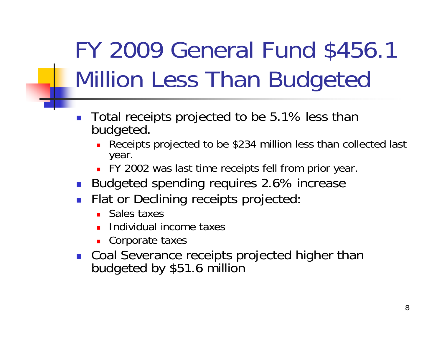## FY 2009 General Fund \$456.1 Million Less Than Budgeted

- $\overline{\phantom{a}}$  Total receipts projected to be 5.1% less than budgeted.
	- Receipts projected to be \$234 million less than collected last year.
	- FY 2002 was last time receipts fell from prior year.
- Budgeted spending requires 2.6% increase
- $\mathbb{R}^n$  Flat or Declining receipts projected:
	- Sales taxes
	- П Individual income taxes
	- **Corporate taxes**
- F Coal Severance receipts projected higher than budgeted by \$51.6 million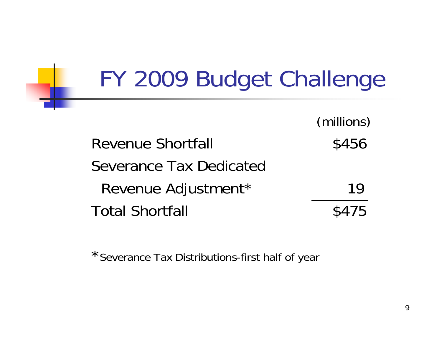| FY 2009 Budget Challenge       |            |
|--------------------------------|------------|
|                                | (millions) |
| <b>Revenue Shortfall</b>       | \$456      |
| <b>Severance Tax Dedicated</b> |            |
| Revenue Adjustment*            | 19         |
| <b>Total Shortfall</b>         |            |

 $\blacksquare$ 

\*Severance Tax Distributions-first half of year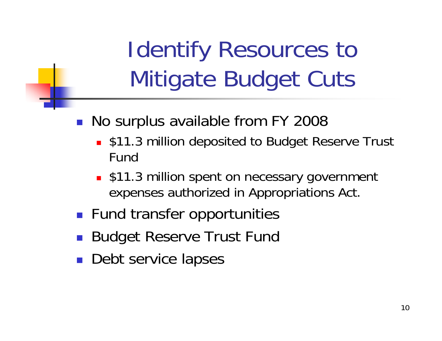Identify Resources to Mitigate Budget Cuts

- $\mathbb{R}^n$  No surplus available from FY 2008
	- **S11.3 million deposited to Budget Reserve Trust** Fund
	- **S11.3 million spent on necessary government** expenses authorized in Appropriations Act.
- **Fund transfer opportunities**
- $\mathbb{R}^2$ Budget Reserve Trust Fund
- **Debt service lapses**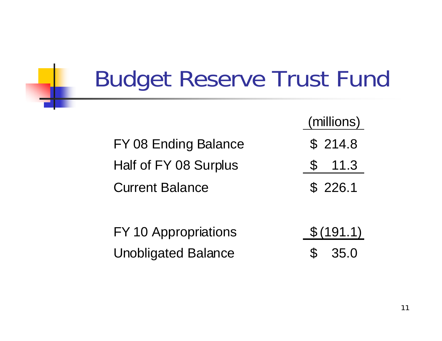## Budget Reserve Trust Fund

(millions) FY 08 Ending Balance  $\qquad$  \$ 214.8 Half of FY 08 Surplus  $\qquad \qquad$  \$ 11.3 Current Balance\$ 226.1

FY 10 Appropriations \$ (191.1) Unobligated Balance  $\qquad \qquad$  \$ 35.0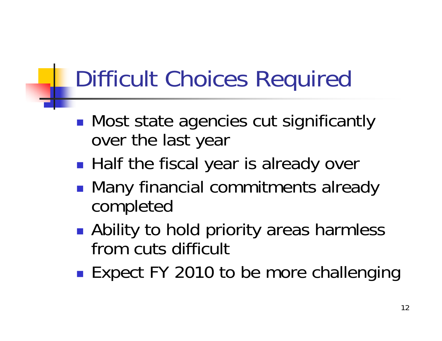## Difficult Choices Required

- $\mathbb{R}^n$ **• Most state agencies cut significantly** over the last year
- $\mathbb{R}^3$ **Half the fiscal year is already over**
- $\mathbb{R}^3$ **• Many financial commitments already** completed
- $\mathbb{R}^3$ ■ Ability to hold priority areas harmless from cuts difficult
- $\mathbb{R}^3$ ■ Expect FY 2010 to be more challenging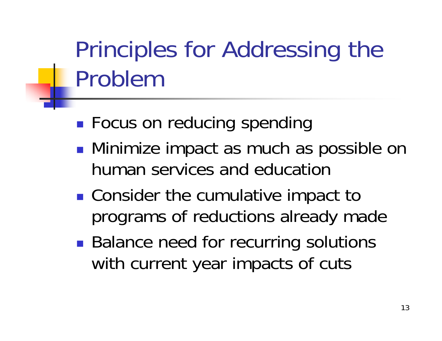## Principles for Addressing the Problem

- $\mathbb{R}^3$ **Focus on reducing spending**
- $\mathbb{R}^3$ **• Minimize impact as much as possible on** human services and education
- $\mathbb{R}^3$ ■ Consider the cumulative impact to programs of reductions already made
- $\mathbb{R}^3$ **Balance need for recurring solutions** with current year impacts of cuts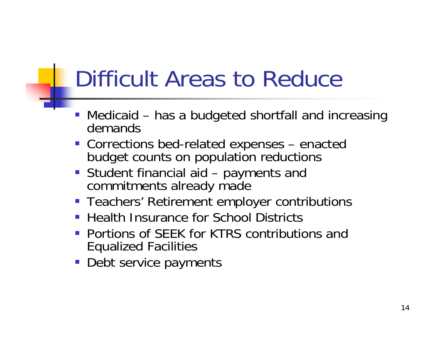## Difficult Areas to Reduce

- Medicaid has a budgeted shortfall and increasing demands
- Corrections bed-related expenses enacted budget counts on population reductions
- Student financial aid payments and commitments already made
- **Teachers' Retirement employer contributions**
- **Health Insurance for School Districts**
- **Portions of SEEK for KTRS contributions and** Equalized Facilities
- **Debt service payments**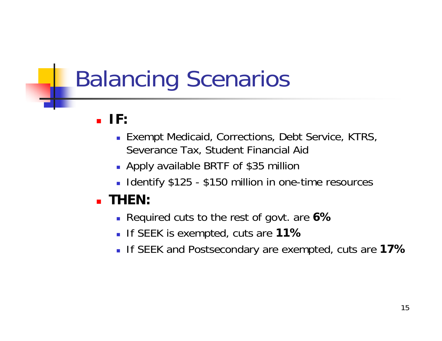## Balancing Scenarios

#### **IF:**

- **Exempt Medicaid, Corrections, Debt Service, KTRS,** Severance Tax, Student Financial Aid
- Apply available BRTF of \$35 million
- **I** Identify \$125 \$150 million in one-time resources

#### **THEN:**

- Required cuts to the rest of govt. are **6%**
- If SEEK is exempted, cuts are **11%**
- If SEEK and Postsecondary are exempted, cuts are **17%**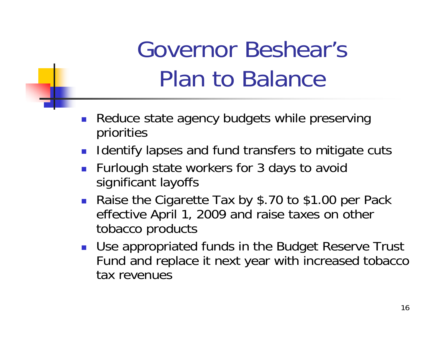## Governor Beshear's Plan to Balance

- П Reduce state agency budgets while preserving priorities
- $\mathcal{L}_{\text{max}}$ Identify lapses and fund transfers to mitigate cuts
- **Furlough state workers for 3 days to avoid** significant layoffs
- Raise the Cigarette Tax by \$.70 to \$1.00 per Pack effective April 1, 2009 and raise taxes on other tobacco products
- **Use appropriated funds in the Budget Reserve Trust** Fund and replace it next year with increased tobacco tax revenues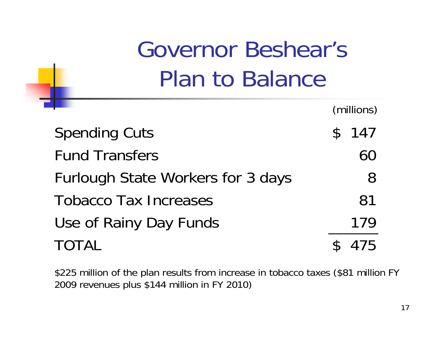Governor Beshear's Plan to Balance

|                                   | (millions) |
|-----------------------------------|------------|
| <b>Spending Cuts</b>              | \$147      |
| <b>Fund Transfers</b>             | 60         |
| Furlough State Workers for 3 days | 8          |
| <b>Tobacco Tax Increases</b>      | 81         |
| Use of Rainy Day Funds            | 179        |
| <b>TOTAL</b>                      | 75         |

\$225 million of the plan results from increase in tobacco taxes (\$81 million FY 2009 revenues plus \$144 million in FY 2010)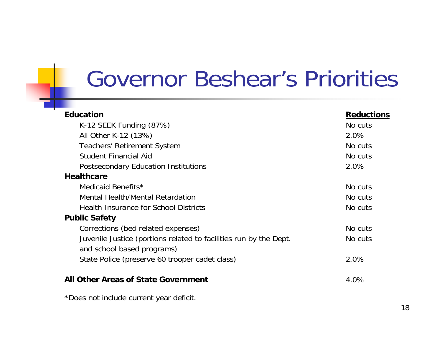### Governor Beshear's Priorities

| <b>Education</b>                                                  | <b>Reductions</b> |
|-------------------------------------------------------------------|-------------------|
| K-12 SEEK Funding $(87%)$                                         | No cuts           |
| All Other K-12 (13%)                                              | 2.0%              |
| <b>Teachers' Retirement System</b>                                | No cuts           |
| <b>Student Financial Aid</b>                                      | No cuts           |
| <b>Postsecondary Education Institutions</b>                       | 2.0%              |
| <b>Healthcare</b>                                                 |                   |
| Medicaid Benefits*                                                | No cuts           |
| Mental Health/Mental Retardation                                  | No cuts           |
| <b>Health Insurance for School Districts</b>                      | No cuts           |
| <b>Public Safety</b>                                              |                   |
| Corrections (bed related expenses)                                | No cuts           |
| Juvenile Justice (portions related to facilities run by the Dept. | No cuts           |
| and school based programs)                                        |                   |
| State Police (preserve 60 trooper cadet class)                    | 2.0%              |
| <b>All Other Areas of State Government</b>                        | 4.0%              |
| *Does not include current year deficit.                           |                   |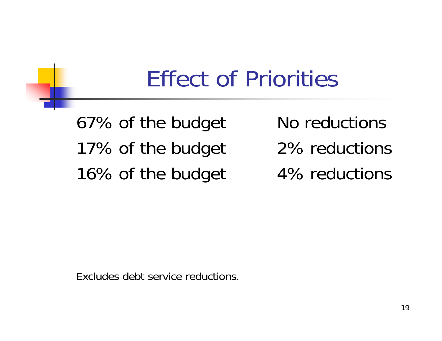### Effect of Priorities

67% of the budget No reductions 17% of the budget 2% reductions 16% of the budget 4% reductions

Excludes debt service reductions.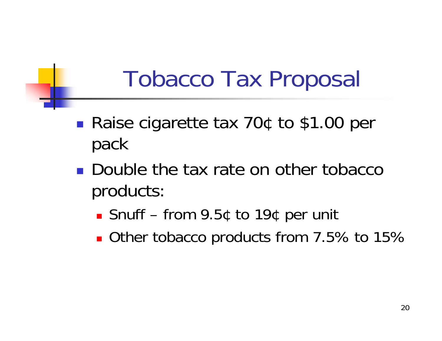## Tobacco Tax Proposal

- $\mathbb{R}^3$ ■ Raise cigarette tax 70¢ to \$1.00 per pack
- **Double the tax rate on other tobacco** products:
	- Snuff from 9.5¢ to 19¢ per unit
	- Other tobacco products from 7.5% to 15%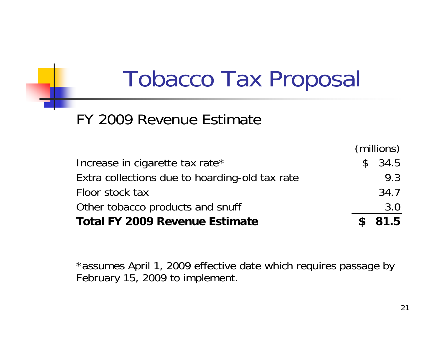## Tobacco Tax Proposal

#### FY 2009 Revenue Estimate

|                                                | (millions) |      |
|------------------------------------------------|------------|------|
| Increase in cigarette tax rate*                | \$34.5     |      |
| Extra collections due to hoarding-old tax rate |            | 9.3  |
| Floor stock tax                                |            | 34.7 |
| Other tobacco products and snuff               |            | 3.0  |
| <b>Total FY 2009 Revenue Estimate</b>          | \$81.5     |      |

\*assumes April 1, 2009 effective date which requires passage by February 15, 2009 to implement.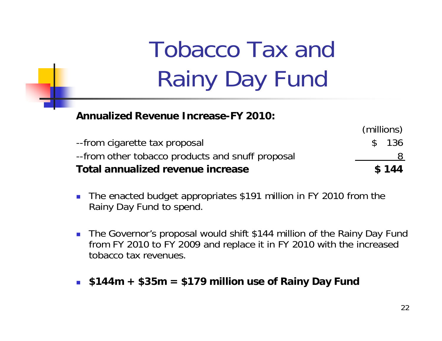## Tobacco Tax and Rainy Day Fund

**Annualized Revenue Increase-FY 2010:**

|                                                   | (millions) |
|---------------------------------------------------|------------|
| --from cigarette tax proposal                     | \$ 136     |
| -- from other tobacco products and snuff proposal |            |
| Total annualized revenue increase                 | \$144      |

- $\mathcal{L}_{\mathcal{A}}$  The enacted budget appropriates \$191 million in FY 2010 from the Rainy Day Fund to spend.
- The Governor's proposal would shift \$144 million of the Rainy Day Fund from FY 2010 to FY 2009 and replace it in FY 2010 with the increased tobacco tax revenues.
- **\$144m + \$35m = \$179 million use of Rainy Day Fund**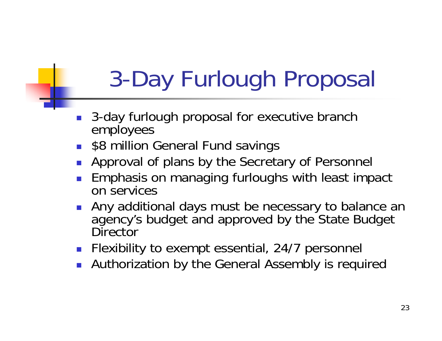## 3-Day Furlough Proposal

- $\overline{\phantom{a}}$  3-day furlough proposal for executive branch employees
- $\mathcal{L}_{\mathrm{max}}$ \$8 million General Fund savings
- F Approval of plans by the Secretary of Personnel
- $\overline{\phantom{a}}$  Emphasis on managing furloughs with least impact on services
- $\overline{\phantom{a}}$  Any additional days must be necessary to balance an agency's budget and approved by the State Budget **Director**
- $\left\| \cdot \right\|$ Flexibility to exempt essential, 24/7 personnel
- $\overline{\phantom{a}}$ Authorization by the General Assembly is required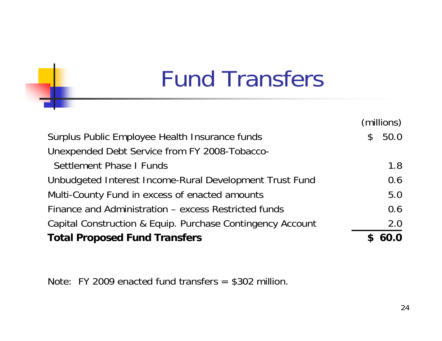## Fund Transfers

|                                                            |              | (millions) |
|------------------------------------------------------------|--------------|------------|
| Surplus Public Employee Health Insurance funds             | $\mathbb{S}$ | 50.0       |
| Unexpended Debt Service from FY 2008-Tobacco-              |              |            |
| Settlement Phase I Funds                                   |              | 1.8        |
| Unbudgeted Interest Income-Rural Development Trust Fund    |              | 0.6        |
| Multi-County Fund in excess of enacted amounts             |              | 5.0        |
| Finance and Administration – excess Restricted funds       |              | 0.6        |
| Capital Construction & Equip. Purchase Contingency Account |              | 2.0        |
| <b>Total Proposed Fund Transfers</b>                       |              | 60.0       |

Note: FY 2009 enacted fund transfers = \$302 million.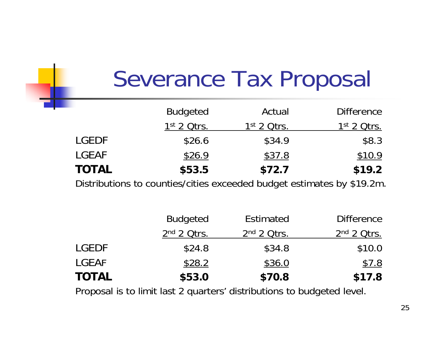## Severance Tax Proposal

|              | <b>Budgeted</b> | Actual        | <b>Difference</b> |
|--------------|-----------------|---------------|-------------------|
|              | $1st$ 2 Qtrs.   | $1st$ 2 Otrs. | $1st$ 2 Qtrs.     |
| <b>LGEDF</b> | \$26.6          | \$34.9        | \$8.3             |
| <b>LGEAF</b> | \$26.9          | \$37.8        | \$10.9            |
| <b>TOTAL</b> | \$53.5          | \$72.7        | \$19.2            |

Distributions to counties/cities exceeded budget estimates by \$19.2m.

|              | <b>Budgeted</b> | <b>Estimated</b> | <b>Difference</b> |
|--------------|-----------------|------------------|-------------------|
|              | $2nd$ 2 Qtrs.   | $2nd$ 2 Otrs.    | $2nd$ 2 Qtrs.     |
| <b>LGEDF</b> | \$24.8          | \$34.8           | \$10.0            |
| LGEAF        | \$28.2          | \$36.0           | \$7.8             |
| <b>TOTAL</b> | \$53.0          | \$70.8           | \$17.8            |

Proposal is to limit last 2 quarters' distributions to budgeted level.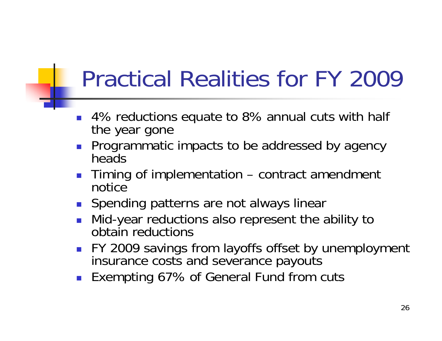## Practical Realities for FY 2009

- $\overline{\phantom{a}}$  4% reductions equate to 8% annual cuts with half the year gone
- $\overline{\phantom{a}}$  Programmatic impacts to be addressed by agency heads
- $\mathcal{L}^{\text{max}}$  Timing of implementation – contract amendment notice
- **Spending patterns are not always linear**
- F Mid-year reductions also represent the ability to obtain reductions
- $\overline{\phantom{a}}$  FY 2009 savings from layoffs offset by unemployment insurance costs and severance payouts
- F Exempting 67% of General Fund from cuts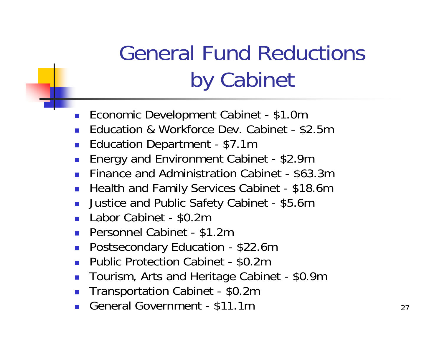## General Fund Reductions by Cabinet

- $\mathcal{L}_{\mathcal{A}}$ Economic Development Cabinet - \$1.0m
- × Education & Workforce Dev. Cabinet - \$2.5m
- $\mathcal{C}_{\mathcal{A}}$ Education Department - \$7.1m
- $\left\vert \cdot \right\vert$ Energy and Environment Cabinet - \$2.9m
- **Finance and Administration Cabinet \$63.3m**
- $\mathcal{L}_{\mathcal{A}}$ Health and Family Services Cabinet - \$18.6m
- $\mathcal{L}_{\mathrm{max}}$ Justice and Public Safety Cabinet - \$5.6m
- **Labor Cabinet \$0.2m**
- × Personnel Cabinet - \$1.2m
- $\left\lfloor \cdot \right\rfloor$ Postsecondary Education - \$22.6m
- × Public Protection Cabinet - \$0.2m
- $\mathcal{L}_{\mathcal{A}}$ Tourism, Arts and Heritage Cabinet - \$0.9m
- $\mathcal{L}_{\mathcal{A}}$ Transportation Cabinet - \$0.2m
- × General Government - \$11.1m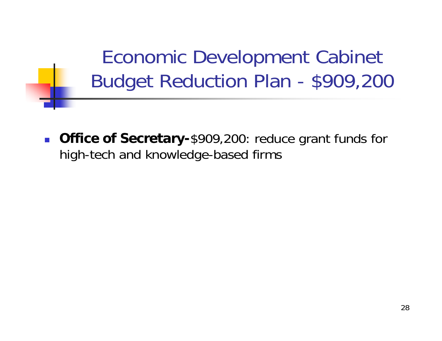Economic Development Cabinet Budget Reduction Plan - \$909,200

 $\mathcal{L}_{\mathcal{A}}$  **Office of Secretary-**\$909,200: reduce grant funds for high-tech and knowledge-based firms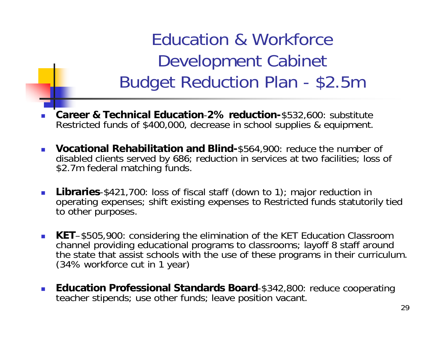Education & Workforce Development Cabinet Budget Reduction Plan - \$2.5m

- L. **Career & Technical Education**-**2% reduction-**\$532,600: substitute Restricted funds of \$400,000, decrease in school supplies & equipment.
- **Vocational Rehabilitation and Blind-**\$564,900: reduce the number of disabled clients served by 686; reduction in services at two facilities; loss of \$2.7m federal matching funds.
- $\mathbb{R}^3$  **Libraries**-\$421,700: loss of fiscal staff (down to 1); major reduction in operating expenses; shift existing expenses to Restricted funds statutorily tied to other purposes.
- L. **KET**–\$505,900: considering the elimination of the KET Education Classroom channel providing educational programs to classrooms; layoff 8 staff around the state that assist schools with the use of these programs in their curriculum.<br>(34% workforce cut in 1 year)
- **Education Professional Standards Board**-\$342,800: reduce cooperating teacher stipends; use other funds; leave position vacant.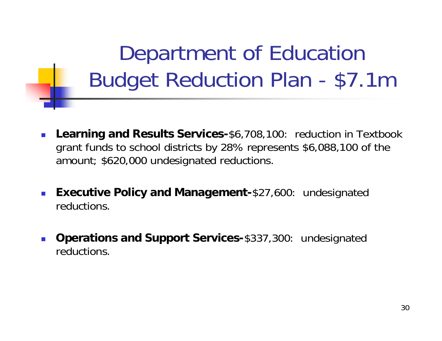Department of Education Budget Reduction Plan - \$7.1m

- П **Learning and Results Services-**\$6,708,100: reduction in Textbook grant funds to school districts by 28% represents \$6,088,100 of the amount; \$620,000 undesignated reductions.
- **Executive Policy and Management-**\$27,600: undesignated reductions.
- П **Operations and Support Services-**\$337,300: undesignated reductions.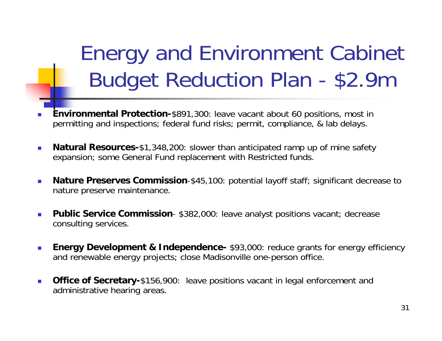Energy and Environment Cabinet Budget Reduction Plan - \$2.9m

- ▉ **Environmental Protection-**\$891,300: leave vacant about 60 positions, most in permitting and inspections; federal fund risks; permit, compliance, & lab delays.
- $\overline{\phantom{a}}$  **Natural Resources-**\$1,348,200: slower than anticipated ramp up of mine safety expansion; some General Fund replacement with Restricted funds.
- $\mathbb{R}^n$  **Nature Preserves Commission**-\$45,100: potential layoff staff; significant decrease to nature preserve maintenance.
- $\mathcal{C}^{\mathcal{A}}$  **Public Service Commission**- \$382,000: leave analyst positions vacant; decrease consulting services.
- $\mathcal{L}_{\mathcal{A}}$ **Energy Development & Independence-** \$93,000: reduce grants for energy efficiency and renewable energy projects; close Madisonville one-person office.
- $\mathcal{L}_{\mathcal{A}}$  **Office of Secretary-**\$156,900: leave positions vacant in legal enforcement and administrative hearing areas.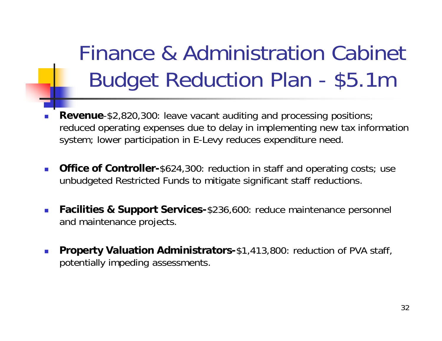Finance & Administration Cabinet Budget Reduction Plan - \$5.1m

- P. **Revenue**-\$2,820,300: leave vacant auditing and processing positions; reduced operating expenses due to delay in implementing new tax information system; lower participation in E-Levy reduces expenditure need.
- $\overline{\phantom{a}}$  **Office of Controller-**\$624,300: reduction in staff and operating costs; use unbudgeted Restricted Funds to mitigate significant staff reductions.
- $\mathcal{L}_{\mathcal{A}}$  **Facilities & Support Services-**\$236,600: reduce maintenance personnel and maintenance projects.
- $\mathcal{L}_{\mathcal{A}}$  **Property Valuation Administrators-**\$1,413,800: reduction of PVA staff, potentially impeding assessments.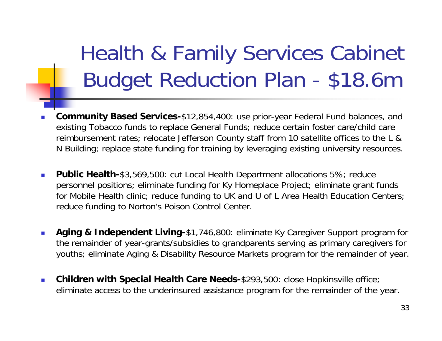## Health & Family Services Cabinet Budget Reduction Plan - \$18.6m

- ▉ **Community Based Services-**\$12,854,400: use prior-year Federal Fund balances, and existing Tobacco funds to replace General Funds; reduce certain foster care/child care reimbursement rates; relocate Jefferson County staff from 10 satellite offices to the L & N Building; replace state funding for training by leveraging existing university resources.
- **College Public Health-**\$3,569,500: cut Local Health Department allocations 5%; reduce personnel positions; eliminate funding for Ky Homeplace Project; eliminate grant funds for Mobile Health clinic; reduce funding to UK and U of L Area Health Education Centers; reduce funding to Norton's Poison Control Center.
- П **Aging & Independent Living-**\$1,746,800: eliminate Ky Caregiver Support program for the remainder of year-grants/subsidies to grandparents serving as primary caregivers for youths; eliminate Aging & Disability Resource Markets program for the remainder of year.
- $\sim$  **Children with Special Health Care Needs-**\$293,500: close Hopkinsville office; eliminate access to the underinsured assistance program for the remainder of the year.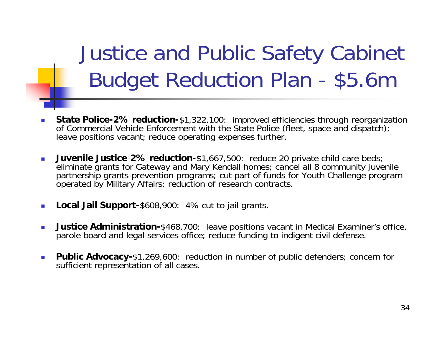Justice and Public Safety Cabinet Budget Reduction Plan - \$5.6m

- П **State Police-2% reduction-**\$1,322,100: improved efficiencies through reorganization of Commercial Vehicle Enforcement with the State Police (fleet, space and dispatch); leave positions vacant; reduce operating expenses further.
- $\sim$  **Juvenile Justice**-**2% reduction-**\$1,667,500: reduce 20 private child care beds; eliminate grants for Gateway and Mary Kendall homes; cancel all 8 community juvenile partnership grants-prevention programs; cut part of funds for Youth Challenge program operated by Military Affairs; reduction of research contracts.
- П **Local Jail Support-**\$608,900: 4% cut to jail grants.
- П **Justice Administration-**\$468,700: leave positions vacant in Medical Examiner's office, parole board and legal services office; reduce funding to indigent civil defense.
- ▉ **Public Advocacy-**\$1,269,600: reduction in number of public defenders; concern for sufficient representation of all cases.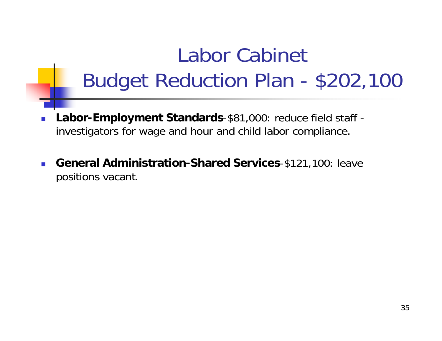### Labor Cabinet Budget Reduction Plan - \$202,100

- **Labor-Employment Standards**-\$81,000: reduce field staff investigators for wage and hour and child labor compliance.
- П **General Administration-Shared Services**-\$121,100: leave positions vacant.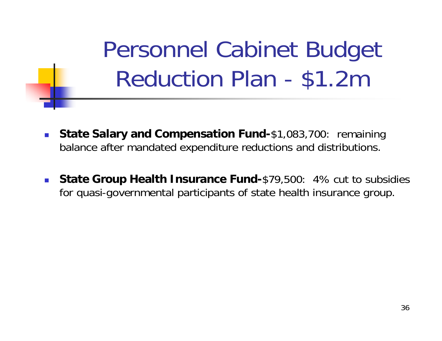Personnel Cabinet Budget Reduction Plan - \$1.2m

- $\mathcal{C}^{\mathcal{A}}_{\mathcal{A}}$  **State Salary and Compensation Fund-**\$1,083,700: remaining balance after mandated expenditure reductions and distributions.
- $\overline{\phantom{a}}$  **State Group Health Insurance Fund-**\$79,500: 4% cut to subsidies for quasi-governmental participants of state health insurance group.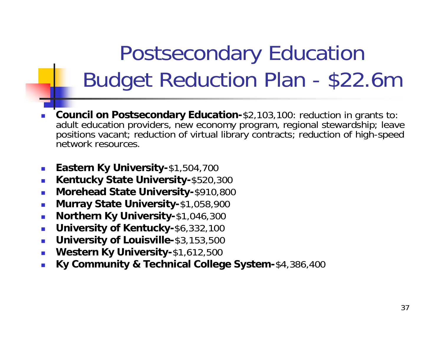## Postsecondary Education Budget Reduction Plan - \$22.6m

- L. **Council on Postsecondary Education-**\$2,103,100: reduction in grants to: adult education providers, new economy program, regional stewardship; leave positions vacant; reduction of virtual library contracts; reduction of high-speed network resources.
- $\mathcal{L}_{\mathrm{eff}}$ **Eastern Ky University-**\$1,504,700
- $\overline{\phantom{a}}$ **Kentucky State University-**\$520,300
- $\mathcal{C}^{\mathcal{A}}$ **Morehead State University-**\$910,800
- $\overline{\phantom{a}}$ **Murray State University-**\$1,058,900
- $\overline{\phantom{a}}$ **Northern Ky University-**\$1,046,300
- $\mathcal{L}_{\mathcal{A}}$ **University of Kentucky-**\$6,332,100
- $\overline{\phantom{a}}$ **University of Louisville-**\$3,153,500
- $\overline{\phantom{a}}$ **Western Ky University-**\$1,612,500
- $\mathbb{R}^3$ **Ky Community & Technical College System-**\$4,386,400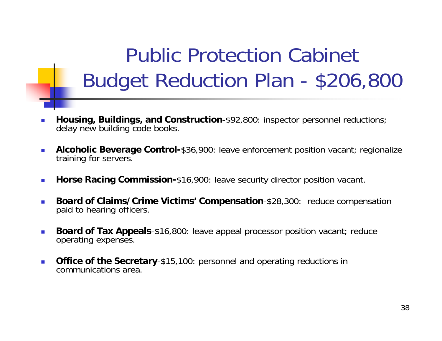### Public Protection Cabinet Budget Reduction Plan - \$206,800

- П **Housing, Buildings, and Construction**-\$92,800: inspector personnel reductions; delay new building code books.
- $\sim$  **Alcoholic Beverage Control-**\$36,900: leave enforcement position vacant; regionalize training for servers.
- $\sim$ **Horse Racing Commission-**\$16,900: leave security director position vacant.
- П **Board of Claims/Crime Victims' Compensation**-\$28,300: reduce compensation paid to hearing officers.
- $\sim$  **Board of Tax Appeals**-\$16,800: leave appeal processor position vacant; reduce operating expenses.
- $\sim$  **Office of the Secretary**-\$15,100: personnel and operating reductions in communications area.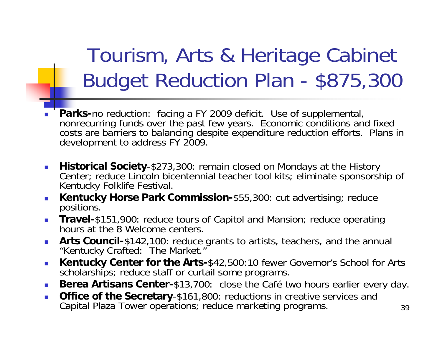Tourism, Arts & Heritage Cabinet Budget Reduction Plan - \$875,300

- $\mathbb{R}^3$  **Parks-**no reduction: facing a FY 2009 deficit. Use of supplemental, nonrecurring funds over the past few years. Economic conditions and fixed costs are barriers to balancing despite expenditure reduction efforts. Plans in development to address FY 2009.
- **Historical Society**-\$273,300: remain closed on Mondays at the History Center; reduce Lincoln bicentennial teacher tool kits; eliminate sponsorship of Kentucky Folklife Festival.
- **Kentucky Horse Park Commission-**\$55,300: cut advertising; reduce positions.
- $\mathcal{L}_{\text{max}}$  **Travel-**\$151,900: reduce tours of Capitol and Mansion; reduce operating hours at the 8 Welcome centers.
- **Arts Council-**\$142,100: reduce grants to artists, teachers, and the annual "Kentucky Crafted: The Market."
- $\mathcal{L}_{\mathcal{A}}$  **Kentucky Center for the Arts-**\$42,500:10 fewer Governor's School for Arts scholarships; reduce staff or curtail some programs.
- P. **Berea Artisans Center-**\$13,700: close the Café two hours earlier every day.
- $\mathbb{R}^3$ **Office of the Secretary**-\$161,800: reductions in creative services and Capital Plaza Tower operations; reduce marketing programs.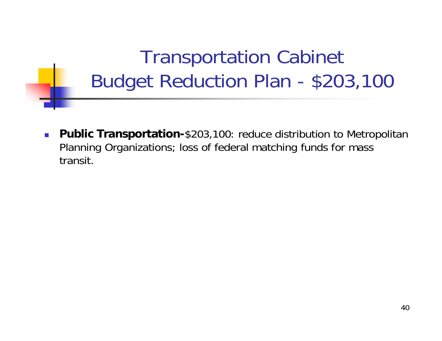#### Transportation Cabinet Budget Reduction Plan - \$203,100

 $\mathcal{C}^{\mathcal{A}}_{\mathcal{A}}$  **Public Transportation-**\$203,100: reduce distribution to Metropolitan Planning Organizations; loss of federal matching funds for mass transit.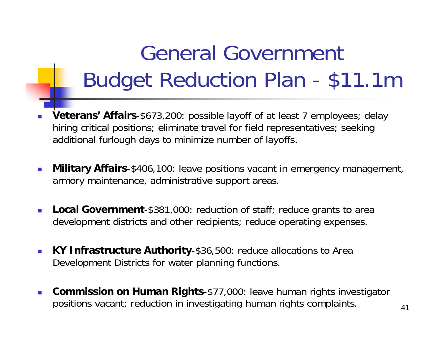## General Government Budget Reduction Plan - \$11.1m

- P. **Veterans' Affairs**-\$673,200: possible layoff of at least 7 employees; delay hiring critical positions; eliminate travel for field representatives; seeking additional furlough days to minimize number of layoffs.
- $\overline{\phantom{a}}$  **Military Affairs**-\$406,100: leave positions vacant in emergency management, armory maintenance, administrative support areas.
- $\mathcal{L}_{\mathcal{A}}$  **Local Government**-\$381,000: reduction of staff; reduce grants to area development districts and other recipients; reduce operating expenses.
- $\mathcal{L}_{\mathcal{A}}$  **KY Infrastructure Authority**-\$36,500: reduce allocations to Area Development Districts for water planning functions.
- $\mathcal{L}_{\mathcal{A}}$  **Commission on Human Rights**-\$77,000: leave human rights investigator positions vacant; reduction in investigating human rights complaints.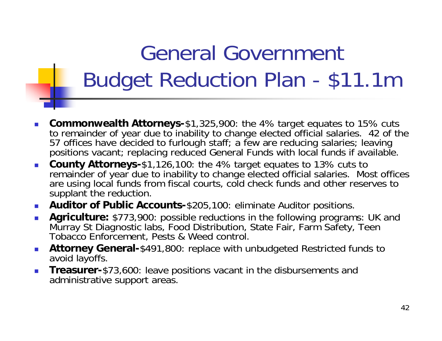## General Government Budget Reduction Plan - \$11.1m

- $\mathbb{R}^3$ **Commonwealth Attorneys-**\$1,325,900: the 4% target equates to 15% cuts to remainder of year due to inability to change elected official salaries. 42 of the 57 offices have decided to furlough staff; a few are reducing salaries; leaving positions vacant; replacing reduced General Funds with local funds if available.
- **County Attorneys-**\$1,126,100: the 4% target equates to 13% cuts to remainder of year due to inability to change elected official salaries. Most offices are using local funds from fiscal courts, cold check funds and other reserves to supplant the reduction.
- **Auditor of Public Accounts-**\$205,100: eliminate Auditor positions.
- **Agriculture:** \$773,900: possible reductions in the following programs: UK and Murray St Diagnostic labs, Food Distribution, State Fair, Farm Safety, Teen Tobacco Enforcement, Pests & Weed control.
- $\mathcal{L}_{\rm{eff}}$  **Attorney General-**\$491,800: replace with unbudgeted Restricted funds to avoid layoffs.
- $\mathbb{R}^3$  **Treasurer-**\$73,600: leave positions vacant in the disbursements and administrative support areas.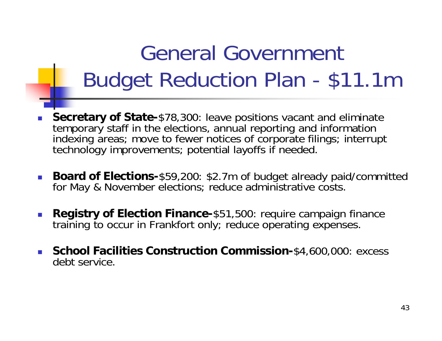## General Government Budget Reduction Plan - \$11.1m

- П **Secretary of State-**\$78,300: leave positions vacant and eliminate temporary staff in the elections, annual reporting and information indexing areas; move to fewer notices of corporate filings; interrupt technology improvements; potential layoffs if needed.
- П **Board of Elections-**\$59,200: \$2.7m of budget already paid/committed for May & November elections; reduce administrative costs.
- $\langle \cdot \rangle$  **Registry of Election Finance-**\$51,500: require campaign finance training to occur in Frankfort only; reduce operating expenses.
- **School Facilities Construction Commission-**\$4,600,000: excess debt service.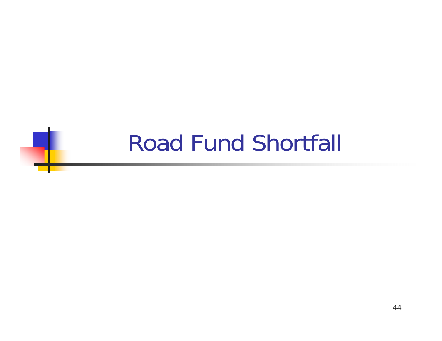### Road Fund Shortfall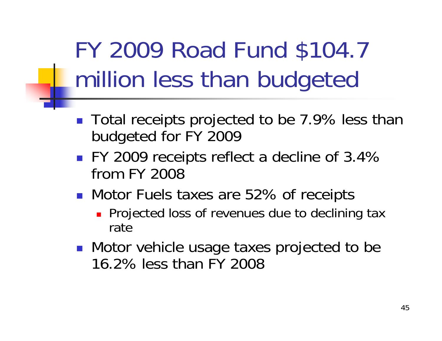## FY 2009 Road Fund \$104.7 million less than budgeted

- Total receipts projected to be 7.9% less than budgeted for FY 2009
- FY 2009 receipts reflect a decline of 3.4% from FY 2008
- Motor Fuels taxes are 52% of receipts
	- **Projected loss of revenues due to declining tax** rate
- **Notor vehicle usage taxes projected to be** 16.2% less than FY 2008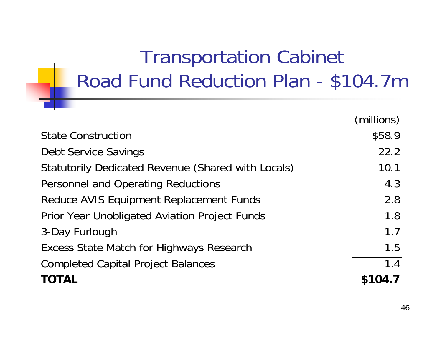#### Transportation Cabinet Road Fund Reduction Plan - \$104.7m

|                                                    | (millions) |
|----------------------------------------------------|------------|
| <b>State Construction</b>                          | \$58.9     |
| <b>Debt Service Savings</b>                        | 22.2       |
| Statutorily Dedicated Revenue (Shared with Locals) | 10.1       |
| Personnel and Operating Reductions                 | 4.3        |
| Reduce AVIS Equipment Replacement Funds            | 2.8        |
| Prior Year Unobligated Aviation Project Funds      | 1.8        |
| 3-Day Furlough                                     | 1.7        |
| <b>Excess State Match for Highways Research</b>    | 1.5        |
| <b>Completed Capital Project Balances</b>          | 1.4        |
| <b>TOTAL</b>                                       | \$104.7    |